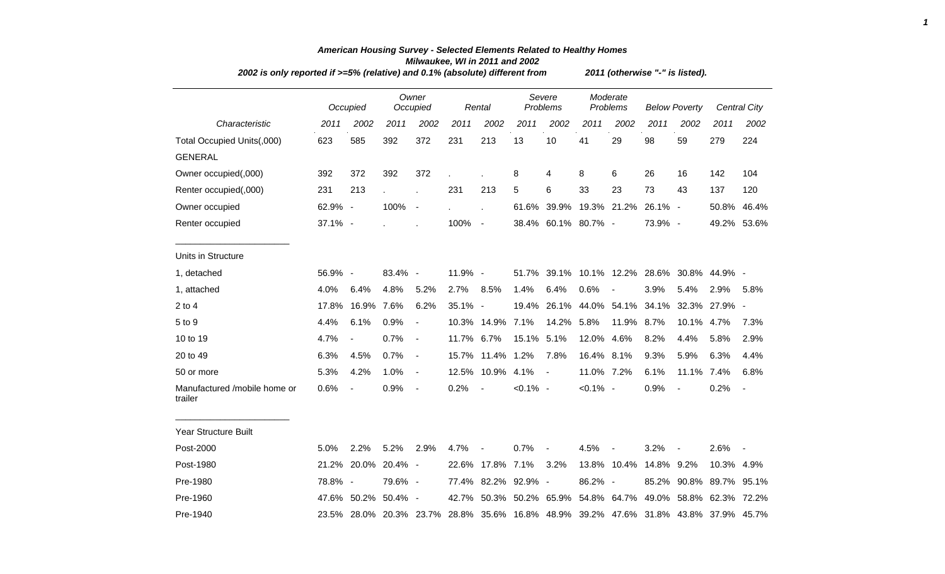| 2002 is only reported if >=5% (relative) and 0.1% (absolute) different from |         |                          |            |                          |            |                          | 2011 (otherwise "-" is listed). |                                 |             |                        |                      |                |                                                                                     |                     |  |
|-----------------------------------------------------------------------------|---------|--------------------------|------------|--------------------------|------------|--------------------------|---------------------------------|---------------------------------|-------------|------------------------|----------------------|----------------|-------------------------------------------------------------------------------------|---------------------|--|
|                                                                             |         | Occupied                 |            | Owner<br>Occupied        |            | Rental                   |                                 | Severe<br>Problems              |             | Moderate<br>Problems   | <b>Below Poverty</b> |                |                                                                                     | <b>Central City</b> |  |
| Characteristic                                                              | 2011    | 2002                     | 2011       | 2002                     | 2011       | 2002                     | 2011                            | 2002                            | 2011        | 2002                   | 2011                 | 2002           | 2011                                                                                | 2002                |  |
| Total Occupied Units(,000)                                                  | 623     | 585                      | 392        | 372                      | 231        | 213                      | 13                              | 10                              | 41          | 29                     | 98                   | 59             | 279                                                                                 | 224                 |  |
| <b>GENERAL</b>                                                              |         |                          |            |                          |            |                          |                                 |                                 |             |                        |                      |                |                                                                                     |                     |  |
| Owner occupied(,000)                                                        | 392     | 372                      | 392        | 372                      |            |                          | 8                               | 4                               | 8           | 6                      | 26                   | 16             | 142                                                                                 | 104                 |  |
| Renter occupied(,000)                                                       | 231     | 213                      |            | $\overline{a}$           | 231        | 213                      | 5                               | 6                               | 33          | 23                     | 73                   | 43             | 137                                                                                 | 120                 |  |
| Owner occupied                                                              | 62.9% - |                          | 100%       | $\blacksquare$           |            |                          |                                 | 61.6% 39.9% 19.3% 21.2% 26.1% - |             |                        |                      |                | 50.8%                                                                               | 46.4%               |  |
| Renter occupied                                                             | 37.1% - |                          |            |                          | 100%       | $\overline{\phantom{a}}$ |                                 | 38.4% 60.1% 80.7% -             |             |                        | 73.9% -              |                |                                                                                     | 49.2% 53.6%         |  |
| Units in Structure                                                          |         |                          |            |                          |            |                          |                                 |                                 |             |                        |                      |                |                                                                                     |                     |  |
| 1, detached                                                                 | 56.9% - |                          | 83.4%      | $\overline{\phantom{a}}$ | 11.9% -    |                          |                                 |                                 |             |                        |                      |                | 51.7% 39.1% 10.1% 12.2% 28.6% 30.8% 44.9% -                                         |                     |  |
| 1, attached                                                                 | 4.0%    | 6.4%                     | 4.8%       | 5.2%                     | 2.7%       | 8.5%                     | 1.4%                            | 6.4%                            | 0.6%        |                        | 3.9%                 | 5.4%           | 2.9%                                                                                | 5.8%                |  |
| $2$ to $4$                                                                  | 17.8%   | 16.9%                    | 7.6%       | 6.2%                     | 35.1% -    |                          | 19.4%                           |                                 |             | 26.1% 44.0% 54.1%      |                      |                | 34.1% 32.3% 27.9% -                                                                 |                     |  |
| 5 to 9                                                                      | 4.4%    | 6.1%                     | 0.9%       | $\overline{a}$           |            | 10.3% 14.9%              | 7.1%                            | 14.2%                           | 5.8%        | 11.9%                  | 8.7%                 | 10.1%          | 4.7%                                                                                | 7.3%                |  |
| 10 to 19                                                                    | 4.7%    | $\overline{\phantom{a}}$ | 0.7%       | $\blacksquare$           | 11.7% 6.7% |                          | 15.1%                           | 5.1%                            | 12.0% 4.6%  |                        | 8.2%                 | 4.4%           | 5.8%                                                                                | 2.9%                |  |
| 20 to 49                                                                    | 6.3%    | 4.5%                     | 0.7%       | $\blacksquare$           |            | 15.7% 11.4% 1.2%         |                                 | 7.8%                            | 16.4% 8.1%  |                        | 9.3%                 | 5.9%           | 6.3%                                                                                | 4.4%                |  |
| 50 or more                                                                  | 5.3%    | 4.2%                     | 1.0%       | $\overline{\phantom{a}}$ |            | 12.5% 10.9% 4.1%         |                                 | $\blacksquare$                  | 11.0% 7.2%  |                        | 6.1%                 | 11.1% 7.4%     |                                                                                     | 6.8%                |  |
| Manufactured /mobile home or<br>trailer                                     | 0.6%    | $\blacksquare$           | 0.9%       | $\blacksquare$           | 0.2%       | $\overline{\phantom{a}}$ | $< 0.1\%$ -                     |                                 | $< 0.1\%$ - |                        | 0.9%                 | $\blacksquare$ | 0.2%                                                                                | $\blacksquare$      |  |
| <b>Year Structure Built</b>                                                 |         |                          |            |                          |            |                          |                                 |                                 |             |                        |                      |                |                                                                                     |                     |  |
| Post-2000                                                                   | 5.0%    | 2.2%                     | 5.2%       | 2.9%                     | 4.7%       |                          | 0.7%                            | $\blacksquare$                  | 4.5%        |                        | 3.2%                 |                | 2.6%                                                                                |                     |  |
| Post-1980                                                                   | 21.2%   | 20.0%                    | 20.4% -    |                          |            | 22.6% 17.8% 7.1%         |                                 | 3.2%                            |             | 13.8% 10.4% 14.8% 9.2% |                      |                | 10.3% 4.9%                                                                          |                     |  |
| Pre-1980                                                                    | 78.8% - |                          | 79.6% -    |                          |            | 77.4% 82.2% 92.9% -      |                                 |                                 | 86.2% -     |                        |                      |                | 85.2% 90.8% 89.7% 95.1%                                                             |                     |  |
| Pre-1960                                                                    |         | 47.6% 50.2%              | $50.4\%$ - |                          |            |                          |                                 |                                 |             |                        |                      |                | 42.7% 50.3% 50.2% 65.9% 54.8% 64.7% 49.0% 58.8% 62.3% 72.2%                         |                     |  |
| Pre-1940                                                                    |         |                          |            |                          |            |                          |                                 |                                 |             |                        |                      |                | 23.5% 28.0% 20.3% 23.7% 28.8% 35.6% 16.8% 48.9% 39.2% 47.6% 31.8% 43.8% 37.9% 45.7% |                     |  |
|                                                                             |         |                          |            |                          |            |                          |                                 |                                 |             |                        |                      |                |                                                                                     |                     |  |

## *American Housing Survey - Selected Elements Related to Healthy Homes Milwaukee, WI in 2011 and 2002*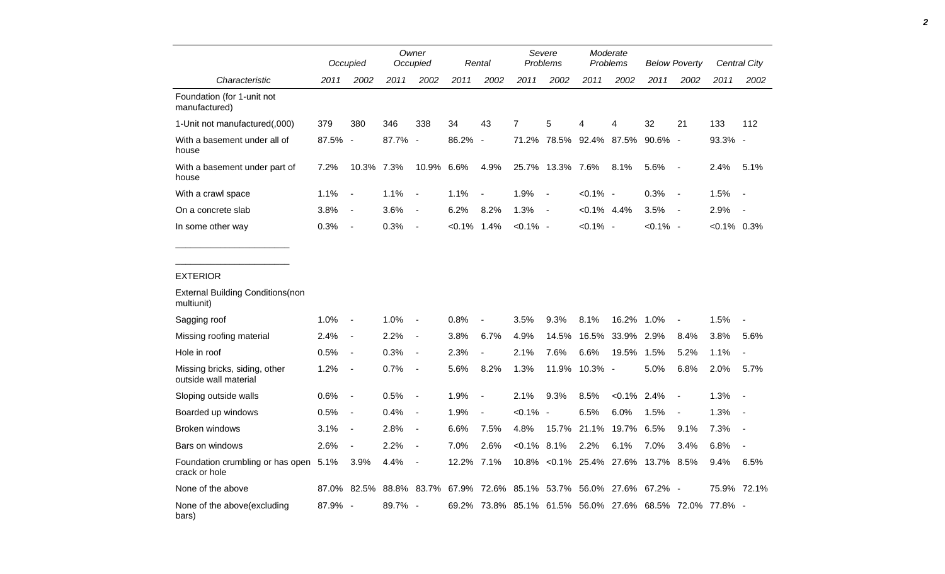|                                                        |         | Occupied                 |         | Owner<br>Occupied |                | Rental                   | Severe<br>Problems                                |                | Moderate<br>Problems |                                     | <b>Below Poverty</b> |                          |                | Central City             |
|--------------------------------------------------------|---------|--------------------------|---------|-------------------|----------------|--------------------------|---------------------------------------------------|----------------|----------------------|-------------------------------------|----------------------|--------------------------|----------------|--------------------------|
| Characteristic                                         | 2011    | 2002                     | 2011    | 2002              | 2011           | 2002                     | 2011                                              | 2002           | 2011                 | 2002                                | 2011                 | 2002                     | 2011           | 2002                     |
| Foundation (for 1-unit not<br>manufactured)            |         |                          |         |                   |                |                          |                                                   |                |                      |                                     |                      |                          |                |                          |
| 1-Unit not manufactured(,000)                          | 379     | 380                      | 346     | 338               | 34             | 43                       | $\overline{7}$                                    | 5              | 4                    | 4                                   | 32                   | 21                       | 133            | 112                      |
| With a basement under all of<br>house                  | 87.5% - |                          | 87.7% - |                   | 86.2%          | $\overline{\phantom{a}}$ | 71.2%                                             |                |                      | 78.5% 92.4% 87.5%                   | $90.6\%$ -           |                          | 93.3% -        |                          |
| With a basement under part of<br>house                 | 7.2%    | 10.3% 7.3%               |         | 10.9%             | 6.6%           | 4.9%                     | 25.7%                                             | 13.3% 7.6%     |                      | 8.1%                                | 5.6%                 | $\overline{\phantom{a}}$ | 2.4%           | 5.1%                     |
| With a crawl space                                     | 1.1%    | $\overline{\phantom{a}}$ | 1.1%    | $\blacksquare$    | 1.1%           | $\blacksquare$           | 1.9%                                              | $\blacksquare$ | $< 0.1\%$ -          |                                     | 0.3%                 | $\sim$ $-$               | 1.5%           | $\overline{\phantom{a}}$ |
| On a concrete slab                                     | 3.8%    | $\sim$                   | 3.6%    | $\blacksquare$    | 6.2%           | 8.2%                     | 1.3%                                              | $\blacksquare$ | $< 0.1\%$ 4.4%       |                                     | 3.5%                 | $\sim$                   | 2.9%           | $\blacksquare$           |
| In some other way                                      | 0.3%    | $\sim$                   | 0.3%    | $\blacksquare$    | $< 0.1\%$ 1.4% |                          | $< 0.1\%$ -                                       |                | $< 0.1\%$ -          |                                     | $< 0.1\%$ -          |                          | $< 0.1\%$ 0.3% |                          |
| <b>External Building Conditions (non</b>               |         |                          |         |                   |                |                          |                                                   |                |                      |                                     |                      |                          |                |                          |
| multiunit)                                             |         |                          |         |                   |                |                          |                                                   |                |                      |                                     |                      |                          |                |                          |
| Sagging roof                                           | 1.0%    | $\sim$                   | 1.0%    | $\blacksquare$    | 0.8%           | $\overline{\phantom{a}}$ | 3.5%                                              | 9.3%           | 8.1%                 | 16.2%                               | $1.0\%$              | $\blacksquare$           | 1.5%           | $\overline{\phantom{a}}$ |
| Missing roofing material                               | 2.4%    | $\overline{\phantom{a}}$ | 2.2%    | $\blacksquare$    | 3.8%           | 6.7%                     | 4.9%                                              | 14.5%          | 16.5%                | 33.9% 2.9%                          |                      | 8.4%                     | 3.8%           | 5.6%                     |
| Hole in roof                                           | 0.5%    | $\sim$                   | 0.3%    | $\blacksquare$    | 2.3%           | $\blacksquare$           | 2.1%                                              | 7.6%           | 6.6%                 | 19.5%                               | 1.5%                 | 5.2%                     | 1.1%           | $\overline{a}$           |
| Missing bricks, siding, other<br>outside wall material | 1.2%    | $\sim$                   | 0.7%    | $\blacksquare$    | 5.6%           | 8.2%                     | 1.3%                                              | 11.9%          | 10.3% -              |                                     | 5.0%                 | 6.8%                     | 2.0%           | 5.7%                     |
| Sloping outside walls                                  | 0.6%    | $\sim$                   | 0.5%    | $\blacksquare$    | 1.9%           | $\overline{\phantom{a}}$ | 2.1%                                              | 9.3%           | 8.5%                 | $< 0.1\%$ 2.4%                      |                      | $\sim$                   | 1.3%           | $\overline{\phantom{a}}$ |
| Boarded up windows                                     | 0.5%    | $\sim$                   | 0.4%    | $\blacksquare$    | 1.9%           | $\blacksquare$           | $< 0.1\%$                                         | $\blacksquare$ | 6.5%                 | 6.0%                                | 1.5%                 | $\blacksquare$           | 1.3%           |                          |
| <b>Broken windows</b>                                  | 3.1%    | $\overline{\phantom{a}}$ | 2.8%    | $\blacksquare$    | 6.6%           | 7.5%                     | 4.8%                                              |                | 15.7% 21.1%          | 19.7%                               | 6.5%                 | 9.1%                     | 7.3%           | $\overline{\phantom{a}}$ |
| Bars on windows                                        | 2.6%    | $\sim$                   | 2.2%    | $\blacksquare$    | 7.0%           | 2.6%                     | $<0.1\%$ 8.1%                                     |                | 2.2%                 | 6.1%                                | 7.0%                 | 3.4%                     | 6.8%           | $\overline{\phantom{a}}$ |
| Foundation crumbling or has open 5.1%<br>crack or hole |         | 3.9%                     | 4.4%    | $\overline{a}$    | 12.2%          | 7.1%                     |                                                   |                |                      | 10.8% < 0.1% 25.4% 27.6% 13.7% 8.5% |                      |                          | 9.4%           | 6.5%                     |
| None of the above                                      |         | 87.0% 82.5%              |         | 88.8% 83.7%       |                |                          | 67.9% 72.6% 85.1% 53.7% 56.0% 27.6% 67.2% -       |                |                      |                                     |                      |                          |                | 75.9% 72.1%              |
| None of the above(excluding<br>bars)                   | 87.9% - |                          | 89.7% - |                   | 69.2%          |                          | 73.8% 85.1% 61.5% 56.0% 27.6% 68.5% 72.0% 77.8% - |                |                      |                                     |                      |                          |                |                          |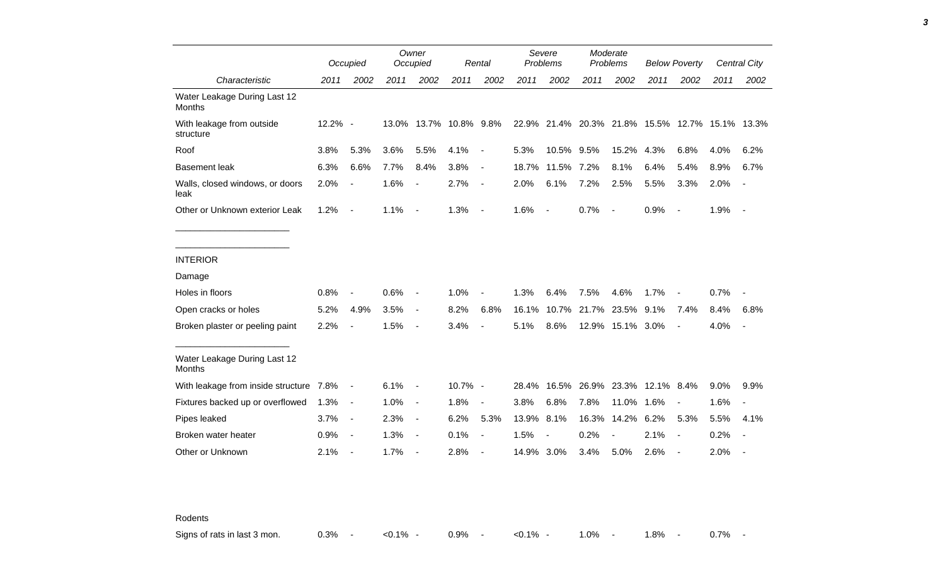|                                         |         | Occupied                 |       | Owner<br>Occupied        |            | Rental                   |       | Severe<br>Problems |       | Moderate<br>Problems     |                                                 | <b>Below Poverty</b>     |      | <b>Central City</b>      |
|-----------------------------------------|---------|--------------------------|-------|--------------------------|------------|--------------------------|-------|--------------------|-------|--------------------------|-------------------------------------------------|--------------------------|------|--------------------------|
| Characteristic                          | 2011    | 2002                     | 2011  | 2002                     | 2011       | 2002                     | 2011  | 2002               | 2011  | 2002                     | 2011                                            | 2002                     | 2011 | 2002                     |
| Water Leakage During Last 12<br>Months  |         |                          |       |                          |            |                          |       |                    |       |                          |                                                 |                          |      |                          |
| With leakage from outside<br>structure  | 12.2% - |                          | 13.0% | 13.7%                    | 10.8% 9.8% |                          |       |                    |       |                          | 22.9% 21.4% 20.3% 21.8% 15.5% 12.7% 15.1% 13.3% |                          |      |                          |
| Roof                                    | 3.8%    | 5.3%                     | 3.6%  | 5.5%                     | 4.1%       | $\overline{\phantom{a}}$ | 5.3%  | 10.5%              | 9.5%  | 15.2%                    | 4.3%                                            | 6.8%                     | 4.0% | 6.2%                     |
| <b>Basement leak</b>                    | 6.3%    | 6.6%                     | 7.7%  | 8.4%                     | 3.8%       | $\blacksquare$           | 18.7% | 11.5%              | 7.2%  | 8.1%                     | 6.4%                                            | 5.4%                     | 8.9% | 6.7%                     |
| Walls, closed windows, or doors<br>leak | 2.0%    |                          | 1.6%  |                          | 2.7%       | $\blacksquare$           | 2.0%  | 6.1%               | 7.2%  | 2.5%                     | 5.5%                                            | 3.3%                     | 2.0% | $\overline{\phantom{a}}$ |
| Other or Unknown exterior Leak          | 1.2%    | $\blacksquare$           | 1.1%  | $\overline{\phantom{a}}$ | 1.3%       | $\overline{\phantom{a}}$ | 1.6%  | $\blacksquare$     | 0.7%  | $\overline{\phantom{a}}$ | 0.9%                                            | $\overline{\phantom{a}}$ | 1.9% | $\blacksquare$           |
|                                         |         |                          |       |                          |            |                          |       |                    |       |                          |                                                 |                          |      |                          |
| <b>INTERIOR</b>                         |         |                          |       |                          |            |                          |       |                    |       |                          |                                                 |                          |      |                          |
| Damage                                  |         |                          |       |                          |            |                          |       |                    |       |                          |                                                 |                          |      |                          |
| Holes in floors                         | 0.8%    |                          | 0.6%  |                          | 1.0%       |                          | 1.3%  | 6.4%               | 7.5%  | 4.6%                     | 1.7%                                            |                          | 0.7% |                          |
| Open cracks or holes                    | 5.2%    | 4.9%                     | 3.5%  | $\overline{\phantom{a}}$ | 8.2%       | 6.8%                     | 16.1% | 10.7%              | 21.7% | 23.5%                    | 9.1%                                            | 7.4%                     | 8.4% | 6.8%                     |
| Broken plaster or peeling paint         | 2.2%    |                          | 1.5%  | $\blacksquare$           | 3.4%       |                          | 5.1%  | 8.6%               |       | 12.9% 15.1% 3.0%         |                                                 | $\blacksquare$           | 4.0% | $\overline{\phantom{a}}$ |
| Water Leakage During Last 12<br>Months  |         |                          |       |                          |            |                          |       |                    |       |                          |                                                 |                          |      |                          |
| With leakage from inside structure 7.8% |         | $\blacksquare$           | 6.1%  | $\blacksquare$           | 10.7% -    |                          | 28.4% |                    |       |                          | 16.5% 26.9% 23.3% 12.1% 8.4%                    |                          | 9.0% | 9.9%                     |
| Fixtures backed up or overflowed        | 1.3%    | $\blacksquare$           | 1.0%  | $\blacksquare$           | 1.8%       | $\overline{\phantom{a}}$ | 3.8%  | 6.8%               | 7.8%  | 11.0%                    | 1.6%                                            | $\blacksquare$           | 1.6% | $\overline{\phantom{a}}$ |
| Pipes leaked                            | 3.7%    | $\blacksquare$           | 2.3%  | $\blacksquare$           | 6.2%       | 5.3%                     | 13.9% | 8.1%               | 16.3% | 14.2%                    | 6.2%                                            | 5.3%                     | 5.5% | 4.1%                     |
| Broken water heater                     | 0.9%    | $\overline{\phantom{a}}$ | 1.3%  | $\blacksquare$           | 0.1%       | $\overline{\phantom{a}}$ | 1.5%  |                    | 0.2%  |                          | 2.1%                                            | $\blacksquare$           | 0.2% |                          |
| Other or Unknown                        | 2.1%    |                          | 1.7%  |                          | 2.8%       |                          | 14.9% | 3.0%               | 3.4%  | 5.0%                     | 2.6%                                            |                          | 2.0% |                          |

Rodents

Signs of rats in last 3 mon.  $0.3\%$  -  $\lt 0.1\%$  - 0.9% -  $\lt 0.1\%$  - 1.0% - 1.8% - 0.7% -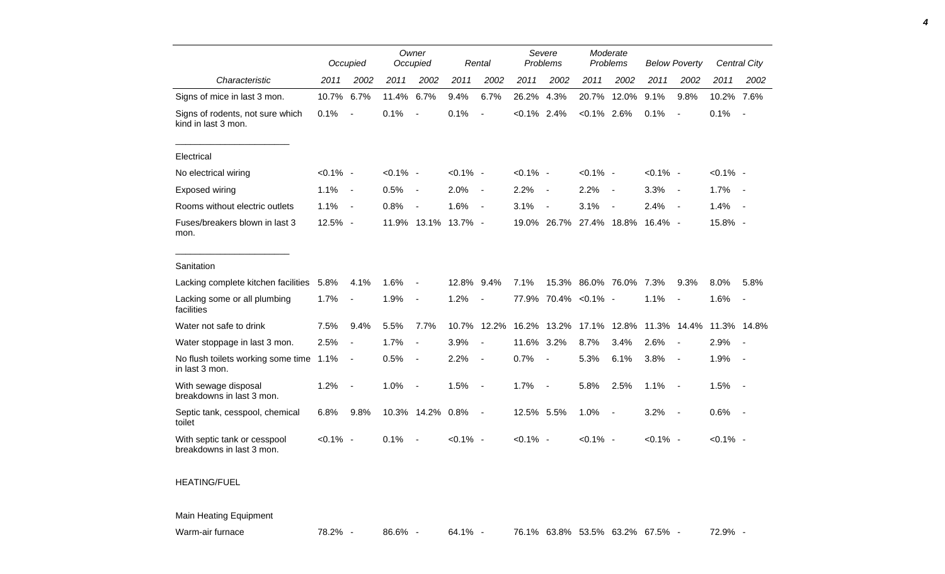|                                                           |             | Occupied                 |             | Owner<br>Occupied        |             | Rental                   |                | Severe<br>Problems       | Moderate<br>Problems |                          | <b>Below Poverty</b> |                          |             | Central City             |
|-----------------------------------------------------------|-------------|--------------------------|-------------|--------------------------|-------------|--------------------------|----------------|--------------------------|----------------------|--------------------------|----------------------|--------------------------|-------------|--------------------------|
| Characteristic                                            | 2011        | 2002                     | 2011        | 2002                     | 2011        | 2002                     | 2011           | 2002                     | 2011                 | 2002                     | 2011                 | 2002                     | 2011        | 2002                     |
| Signs of mice in last 3 mon.                              | 10.7%       | 6.7%                     | 11.4%       | 6.7%                     | 9.4%        | 6.7%                     | 26.2%          | 4.3%                     | 20.7%                | 12.0%                    | 9.1%                 | 9.8%                     | 10.2% 7.6%  |                          |
| Signs of rodents, not sure which<br>kind in last 3 mon.   | 0.1%        | $\overline{\phantom{a}}$ | 0.1%        | $\blacksquare$           | 0.1%        | $\overline{\phantom{a}}$ | $< 0.1\%$ 2.4% |                          | $< 0.1\%$ 2.6%       |                          | 0.1%                 | $\sim$                   | 0.1%        | $\sim$                   |
| Electrical                                                |             |                          |             |                          |             |                          |                |                          |                      |                          |                      |                          |             |                          |
| No electrical wiring                                      | $< 0.1\%$ - |                          | $< 0.1\%$ - |                          | $< 0.1\%$ - |                          | $< 0.1\%$ -    |                          | $< 0.1\%$ -          |                          | $< 0.1\%$ -          |                          | $< 0.1\%$ - |                          |
| Exposed wiring                                            | 1.1%        | $\overline{\phantom{a}}$ | 0.5%        | $\overline{\phantom{a}}$ | 2.0%        | $\overline{\phantom{a}}$ | 2.2%           | $\overline{\phantom{a}}$ | 2.2%                 | $\overline{\phantom{a}}$ | 3.3%                 | $\sim$                   | 1.7%        | $\sim$                   |
| Rooms without electric outlets                            | 1.1%        | $\blacksquare$           | 0.8%        | $\blacksquare$           | 1.6%        | $\overline{\phantom{a}}$ | 3.1%           | $\overline{\phantom{a}}$ | 3.1%                 | $\overline{\phantom{a}}$ | 2.4%                 | $\sim$                   | 1.4%        | $\sim$                   |
| Fuses/breakers blown in last 3<br>mon.                    | 12.5% -     |                          |             | 11.9% 13.1% 13.7% -      |             |                          | 19.0%          | 26.7%                    |                      |                          | 27.4% 18.8% 16.4% -  |                          | 15.8% -     |                          |
| Sanitation                                                |             |                          |             |                          |             |                          |                |                          |                      |                          |                      |                          |             |                          |
| Lacking complete kitchen facilities                       | 5.8%        | 4.1%                     | 1.6%        | $\blacksquare$           | 12.8%       | 9.4%                     | 7.1%           |                          | 15.3% 86.0% 76.0%    |                          | 7.3%                 | 9.3%                     | 8.0%        | 5.8%                     |
| Lacking some or all plumbing<br>facilities                | 1.7%        |                          | 1.9%        | $\blacksquare$           | 1.2%        | $\overline{a}$           |                |                          | 77.9% 70.4% < 0.1% - |                          | 1.1%                 |                          | 1.6%        | $\overline{\phantom{a}}$ |
| Water not safe to drink                                   | 7.5%        | 9.4%                     | 5.5%        | 7.7%                     | 10.7%       | 12.2%                    | 16.2%          | 13.2%                    | 17.1%                | 12.8%                    |                      | 11.3% 14.4%              | 11.3% 14.8% |                          |
| Water stoppage in last 3 mon.                             | 2.5%        | $\blacksquare$           | 1.7%        | $\blacksquare$           | 3.9%        | $\overline{\phantom{a}}$ | 11.6%          | 3.2%                     | 8.7%                 | 3.4%                     | 2.6%                 | $\overline{\phantom{a}}$ | 2.9%        |                          |
| No flush toilets working some time 1.1%<br>in last 3 mon. |             | $\blacksquare$           | 0.5%        | $\blacksquare$           | 2.2%        | $\blacksquare$           | 0.7%           | $\overline{\phantom{a}}$ | 5.3%                 | 6.1%                     | 3.8%                 | $\sim$                   | 1.9%        | $\sim$                   |
| With sewage disposal<br>breakdowns in last 3 mon.         | 1.2%        | $\overline{\phantom{a}}$ | 1.0%        | $\blacksquare$           | 1.5%        | $\overline{\phantom{a}}$ | 1.7%           | $\overline{\phantom{a}}$ | 5.8%                 | 2.5%                     | 1.1%                 | $\sim$                   | 1.5%        | $\sim$                   |
| Septic tank, cesspool, chemical<br>toilet                 | 6.8%        | 9.8%                     |             | 10.3% 14.2% 0.8%         |             | $\blacksquare$           | 12.5% 5.5%     |                          | 1.0%                 | $\overline{\phantom{a}}$ | 3.2%                 | $\sim$                   | 0.6%        | $\sim$                   |
| With septic tank or cesspool<br>breakdowns in last 3 mon. | $< 0.1\%$ - |                          | 0.1%        |                          | $< 0.1\%$ - |                          | $< 0.1\%$ -    |                          | $< 0.1\%$ -          |                          | $< 0.1\%$ -          |                          | $< 0.1\%$ - |                          |

*4*

HEATING/FUEL

Main Heating Equipment

Warm-air furnace **78.2% - 86.6% - 64.1% - 76.1% 63.8% 53.5% 63.2% 67.5% - 72.9% -**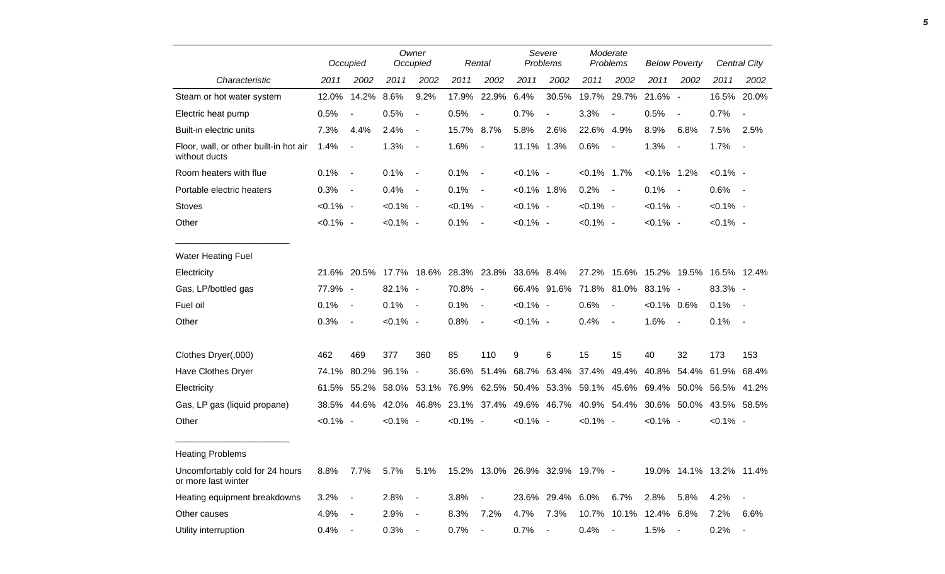|                                                         |             | Occupied       |             | Owner<br>Occupied        |             | Rental                   |                | Severe<br>Problems            |                | Moderate<br>Problems     |                | <b>Below Poverty</b>     |                         | Central City             |
|---------------------------------------------------------|-------------|----------------|-------------|--------------------------|-------------|--------------------------|----------------|-------------------------------|----------------|--------------------------|----------------|--------------------------|-------------------------|--------------------------|
| Characteristic                                          | 2011        | 2002           | 2011        | 2002                     | 2011        | 2002                     | 2011           | 2002                          | 2011           | 2002                     | 2011           | 2002                     | 2011                    | 2002                     |
| Steam or hot water system                               | 12.0%       | 14.2%          | 8.6%        | 9.2%                     | 17.9%       | 22.9%                    | 6.4%           | 30.5%                         | 19.7%          | 29.7%                    | 21.6% -        |                          | 16.5%                   | 20.0%                    |
| Electric heat pump                                      | 0.5%        |                | 0.5%        | $\blacksquare$           | 0.5%        | $\overline{\phantom{a}}$ | 0.7%           | $\blacksquare$                | 3.3%           | $\overline{\phantom{a}}$ | 0.5%           | $\overline{\phantom{a}}$ | 0.7%                    | $\overline{\phantom{a}}$ |
| Built-in electric units                                 | 7.3%        | 4.4%           | 2.4%        | $\overline{\phantom{a}}$ | 15.7%       | 8.7%                     | 5.8%           | 2.6%                          | 22.6%          | 4.9%                     | 8.9%           | 6.8%                     | 7.5%                    | 2.5%                     |
| Floor, wall, or other built-in hot air<br>without ducts | 1.4%        | $\blacksquare$ | 1.3%        | $\overline{\phantom{a}}$ | 1.6%        | $\overline{\phantom{a}}$ | 11.1% 1.3%     |                               | 0.6%           | $\overline{\phantom{a}}$ | 1.3%           | $\overline{a}$           | 1.7%                    | $\blacksquare$           |
| Room heaters with flue                                  | 0.1%        | $\blacksquare$ | 0.1%        | $\overline{\phantom{a}}$ | 0.1%        | $\overline{\phantom{a}}$ | $< 0.1\%$ -    |                               | $< 0.1\%$ 1.7% |                          | $< 0.1\%$ 1.2% |                          | $< 0.1\%$ -             |                          |
| Portable electric heaters                               | 0.3%        | $\blacksquare$ | 0.4%        | $\blacksquare$           | 0.1%        | $\overline{\phantom{a}}$ | $< 0.1\%$ 1.8% |                               | 0.2%           | $\overline{\phantom{a}}$ | 0.1%           | $\blacksquare$           | 0.6%                    | $\sim$                   |
| <b>Stoves</b>                                           | $< 0.1\%$ - |                | $< 0.1\%$ - |                          | $< 0.1\%$ - |                          | $< 0.1\%$ -    |                               | $< 0.1\%$ -    |                          | $< 0.1\%$ -    |                          | $< 0.1\%$ -             |                          |
| Other                                                   | $< 0.1\%$ - |                | $< 0.1\%$ - |                          | 0.1%        | $\overline{\phantom{a}}$ | $< 0.1\%$ -    |                               | $< 0.1\%$ -    |                          | $< 0.1\%$ -    |                          | $< 0.1\%$ -             |                          |
| Water Heating Fuel                                      |             |                |             |                          |             |                          |                |                               |                |                          |                |                          |                         |                          |
| Electricity                                             | 21.6%       | 20.5%          |             | 17.7% 18.6%              |             | 28.3% 23.8%              | 33.6% 8.4%     |                               | 27.2%          | 15.6%                    | 15.2% 19.5%    |                          |                         | 16.5% 12.4%              |
| Gas, LP/bottled gas                                     | 77.9% -     |                | $82.1\%$ -  |                          | 70.8%       | $\sim$                   |                | 66.4% 91.6%                   |                | 71.8% 81.0%              | 83.1% -        |                          | 83.3% -                 |                          |
| Fuel oil                                                | 0.1%        | $\blacksquare$ | 0.1%        | $\overline{\phantom{a}}$ | 0.1%        | $\overline{\phantom{a}}$ | $< 0.1\%$ -    |                               | 0.6%           | $\overline{\phantom{a}}$ | $<0.1\%$ 0.6%  |                          | 0.1%                    | $\blacksquare$           |
| Other                                                   | 0.3%        | $\blacksquare$ | $< 0.1\%$ - |                          | 0.8%        | $\overline{\phantom{a}}$ | $< 0.1\%$ -    |                               | 0.4%           | $\blacksquare$           | 1.6%           | $\overline{\phantom{a}}$ | 0.1%                    | $\overline{\phantom{a}}$ |
| Clothes Dryer(,000)                                     | 462         | 469            | 377         | 360                      | 85          | 110                      | 9              | 6                             | 15             | 15                       | 40             | 32                       | 173                     | 153                      |
| Have Clothes Dryer                                      | 74.1%       | 80.2%          | 96.1%       | $\overline{\phantom{a}}$ | 36.6%       | 51.4%                    | 68.7%          | 63.4%                         | 37.4%          | 49.4%                    | 40.8%          | 54.4%                    | 61.9%                   | 68.4%                    |
| Electricity                                             | 61.5%       | 55.2%          | 58.0%       | 53.1%                    | 76.9%       |                          |                | 62.5% 50.4% 53.3% 59.1% 45.6% |                |                          | 69.4%          | 50.0%                    | 56.5% 41.2%             |                          |
| Gas, LP gas (liquid propane)                            | 38.5%       | 44.6%          | 42.0%       | 46.8%                    | 23.1%       | 37.4%                    |                | 49.6% 46.7%                   |                | 40.9% 54.4%              |                | 30.6% 50.0%              |                         | 43.5% 58.5%              |
| Other                                                   | $< 0.1\%$ - |                | $< 0.1\%$ - |                          | $< 0.1\%$ - |                          | $< 0.1\%$ -    |                               | $< 0.1\%$ -    |                          | $< 0.1\%$ -    |                          | $< 0.1\%$ -             |                          |
| <b>Heating Problems</b>                                 |             |                |             |                          |             |                          |                |                               |                |                          |                |                          |                         |                          |
| Uncomfortably cold for 24 hours<br>or more last winter  | 8.8%        | 7.7%           | 5.7%        | 5.1%                     | 15.2%       |                          |                | 13.0% 26.9% 32.9% 19.7% -     |                |                          |                |                          | 19.0% 14.1% 13.2% 11.4% |                          |
| Heating equipment breakdowns                            | 3.2%        | $\blacksquare$ | 2.8%        | $\blacksquare$           | 3.8%        |                          | 23.6%          | 29.4%                         | $6.0\%$        | 6.7%                     | 2.8%           | 5.8%                     | 4.2%                    |                          |
| Other causes                                            | 4.9%        |                | 2.9%        |                          | 8.3%        | 7.2%                     | 4.7%           | 7.3%                          | 10.7%          | 10.1%                    | 12.4%          | 6.8%                     | 7.2%                    | 6.6%                     |
| Utility interruption                                    | 0.4%        |                | 0.3%        | $\blacksquare$           | 0.7%        | $\sim$                   | 0.7%           | $\blacksquare$                | 0.4%           |                          | 1.5%           | $\sim$                   | 0.2%                    | $\overline{\phantom{a}}$ |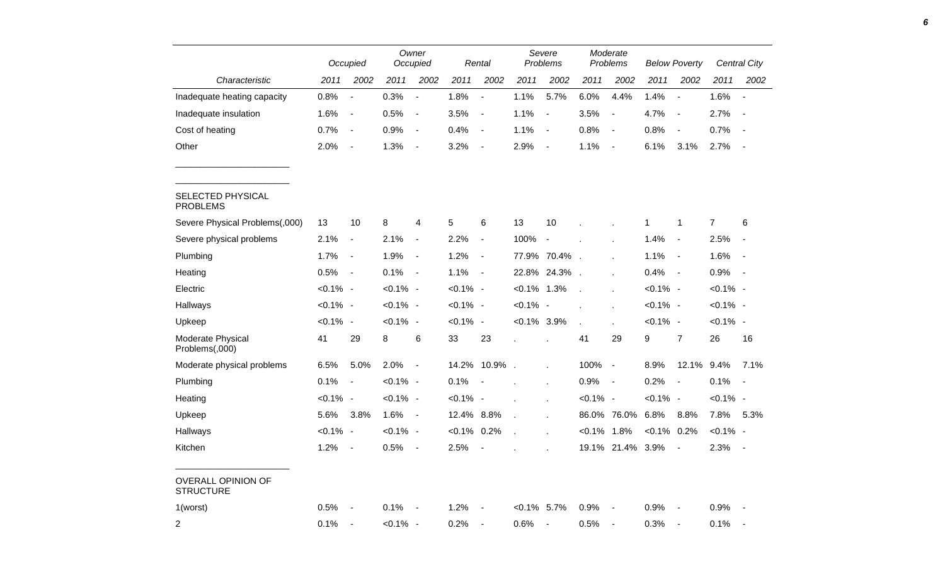|                                        |             | Occupied                     |             | Owner<br>Occupied            |             | Rental                   |                | Severe<br>Problems       |               | Moderate<br>Problems     |                | <b>Below Poverty</b>     |             | Central City             |
|----------------------------------------|-------------|------------------------------|-------------|------------------------------|-------------|--------------------------|----------------|--------------------------|---------------|--------------------------|----------------|--------------------------|-------------|--------------------------|
| Characteristic                         | 2011        | 2002                         | 2011        | 2002                         | 2011        | 2002                     | 2011           | 2002                     | 2011          | 2002                     | 2011           | 2002                     | 2011        | 2002                     |
| Inadequate heating capacity            | 0.8%        | $\blacksquare$               | 0.3%        | $\overline{\phantom{a}}$     | 1.8%        | $\overline{\phantom{a}}$ | 1.1%           | 5.7%                     | 6.0%          | 4.4%                     | 1.4%           | $\overline{\phantom{a}}$ | 1.6%        | $\overline{\phantom{a}}$ |
| Inadequate insulation                  | 1.6%        | $\overline{\phantom{a}}$     | 0.5%        | $\blacksquare$               | 3.5%        | $\overline{\phantom{a}}$ | 1.1%           | $\blacksquare$           | 3.5%          | $\overline{\phantom{a}}$ | 4.7%           | $\overline{\phantom{a}}$ | 2.7%        | $\overline{\phantom{a}}$ |
| Cost of heating                        | 0.7%        | $\blacksquare$               | 0.9%        | $\overline{\phantom{a}}$     | 0.4%        | $\blacksquare$           | 1.1%           | $\overline{\phantom{a}}$ | 0.8%          | $\overline{\phantom{a}}$ | 0.8%           | $\overline{\phantom{a}}$ | 0.7%        |                          |
| Other                                  | 2.0%        | $\blacksquare$               | 1.3%        | $\blacksquare$               | 3.2%        | $\overline{\phantom{a}}$ | 2.9%           | $\overline{\phantom{a}}$ | 1.1%          | $\overline{\phantom{a}}$ | 6.1%           | 3.1%                     | 2.7%        | $\sim$                   |
| SELECTED PHYSICAL<br><b>PROBLEMS</b>   |             |                              |             |                              |             |                          |                |                          |               |                          |                |                          |             |                          |
| Severe Physical Problems(,000)         | 13          | 10                           | 8           | 4                            | 5           | 6                        | 13             | 10                       |               |                          | 1              | 1                        | 7           | 6                        |
| Severe physical problems               | 2.1%        | $\blacksquare$               | 2.1%        | $\blacksquare$               | 2.2%        | $\overline{\phantom{a}}$ | 100%           | $\overline{\phantom{a}}$ |               |                          | 1.4%           | $\blacksquare$           | 2.5%        | $\blacksquare$           |
| Plumbing                               | 1.7%        | $\qquad \qquad \blacksquare$ | 1.9%        | $\qquad \qquad \blacksquare$ | 1.2%        | $\overline{\phantom{a}}$ |                | 77.9% 70.4%              | $\mathbf{r}$  |                          | 1.1%           | $\sim$                   | 1.6%        | $\blacksquare$           |
| Heating                                | 0.5%        | $\blacksquare$               | 0.1%        | $\blacksquare$               | 1.1%        | $\overline{\phantom{a}}$ | 22.8%          | 24.3%                    |               |                          | 0.4%           | $\sim$                   | 0.9%        | $\sim$                   |
| Electric                               | $< 0.1\%$ - |                              | $< 0.1\%$ - |                              | $< 0.1\%$ - |                          | $< 0.1\%$ 1.3% |                          | $\mathcal{L}$ |                          | $< 0.1\%$ -    |                          | $< 0.1\%$ - |                          |
| Hallways                               | $< 0.1\%$ - |                              | $< 0.1\%$ - |                              | $< 0.1\%$ - |                          | $< 0.1\%$ -    |                          |               |                          | $< 0.1\%$ -    |                          | $< 0.1\%$ - |                          |
| Upkeep                                 | $< 0.1\%$ - |                              | $< 0.1\%$ - |                              | $< 0.1\%$ - |                          | $< 0.1\%$ 3.9% |                          |               |                          | $< 0.1\%$ -    |                          | $< 0.1\%$ - |                          |
| Moderate Physical<br>Problems(,000)    | 41          | 29                           | 8           | 6                            | 33          | 23                       |                |                          | 41            | 29                       | 9              | $\overline{7}$           | 26          | 16                       |
| Moderate physical problems             | 6.5%        | 5.0%                         | 2.0%        | $\blacksquare$               | 14.2%       | 10.9%                    | $\sim$         |                          | 100%          | $\overline{\phantom{a}}$ | 8.9%           | 12.1%                    | 9.4%        | 7.1%                     |
| Plumbing                               | 0.1%        | $\blacksquare$               | $< 0.1\%$ - |                              | 0.1%        | $\overline{\phantom{a}}$ |                |                          | 0.9%          | $\overline{\phantom{a}}$ | 0.2%           | $\sim$                   | 0.1%        | $\sim$                   |
| Heating                                | $< 0.1\%$ - |                              | $< 0.1\%$ - |                              | $< 0.1\%$ - |                          |                | ÷.                       | $< 0.1\%$ -   |                          | $< 0.1\%$ -    |                          | $< 0.1\%$ - |                          |
| Upkeep                                 | 5.6%        | 3.8%                         | 1.6%        | $\blacksquare$               | 12.4%       | 8.8%                     |                |                          | 86.0%         | 76.0%                    | 6.8%           | 8.8%                     | 7.8%        | 5.3%                     |
| Hallways                               | $< 0.1\%$ - |                              | $< 0.1\%$ - |                              | $< 0.1\%$   | 0.2%                     |                |                          | $< 0.1\%$     | 1.8%                     | $< 0.1\%$ 0.2% |                          | $< 0.1\%$ - |                          |
| Kitchen                                | 1.2%        | $\overline{\phantom{a}}$     | 0.5%        | $\overline{\phantom{a}}$     | 2.5%        |                          |                |                          | 19.1%         | 21.4%                    | 3.9%           | $\sim$                   | 2.3%        | $\sim$                   |
| OVERALL OPINION OF<br><b>STRUCTURE</b> |             |                              |             |                              |             |                          |                |                          |               |                          |                |                          |             |                          |
| 1(worst)                               | 0.5%        | $\blacksquare$               | $0.1\%$ -   |                              | 1.2%        | $\blacksquare$           | $< 0.1\%$ 5.7% |                          | 0.9%          | $\sim$ $-$               | 0.9%           | $\sim$ $-$               | $0.9\%$ -   |                          |
| $\overline{2}$                         | 0.1%        | $\blacksquare$               | $< 0.1\%$ - |                              | 0.2%        | $\overline{\phantom{a}}$ | 0.6%           | $\blacksquare$           | 0.5%          |                          | 0.3%           | $\sim$ $-$               | 0.1%        | $\sim$                   |